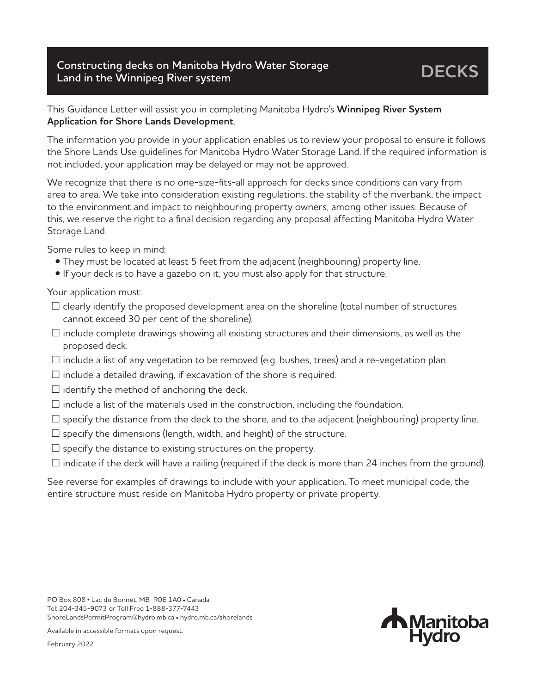## **Constructing decks on Manitoba Hydro Water Storage Land in the Winnipeg River system**

## This Guidance Letter will assist you in completing Manitoba Hydro's **Winnipeg River System Application for Shore Lands Development**.

The information you provide in your application enables us to review your proposal to ensure it follows the Shore Lands Use guidelines for Manitoba Hydro Water Storage Land. If the required information is not included, your application may be delayed or may not be approved.

We recognize that there is no one-size-fits-all approach for decks since conditions can vary from area to area. We take into consideration existing regulations, the stability of the riverbank, the impact to the environment and impact to neighbouring property owners, among other issues. Because of this, we reserve the right to a final decision regarding any proposal affecting Manitoba Hydro Water Storage Land.

Some rules to keep in mind:

- They must be located at least 5 feet from the adjacent (neighbouring) property line.
- If your deck is to have a gazebo on it, you must also apply for that structure.

Your application must:

- $\Box$  clearly identify the proposed development area on the shoreline (total number of structures cannot exceed 30 per cent of the shoreline).
- $\Box$  include complete drawings showing all existing structures and their dimensions, as well as the proposed deck.
- $\Box$  include a list of any vegetation to be removed (e.g. bushes, trees) and a re-vegetation plan.
- $\square$  include a detailed drawing, if excavation of the shore is required.
- $\square$  identify the method of anchoring the deck.
- $\square$  include a list of the materials used in the construction, including the foundation.
- $\Box$  specify the distance from the deck to the shore, and to the adjacent (neighbouring) property line.
- $\square$  specify the dimensions (length, width, and height) of the structure.
- $\square$  specify the distance to existing structures on the property.
- $\Box$  indicate if the deck will have a railing (required if the deck is more than 24 inches from the ground).

See reverse for examples of drawings to include with your application. To meet municipal code, the entire structure must reside on Manitoba Hydro property or private property.

**N**Manitoba **Hydro** 

Available in accessible formats upon request. February 2022